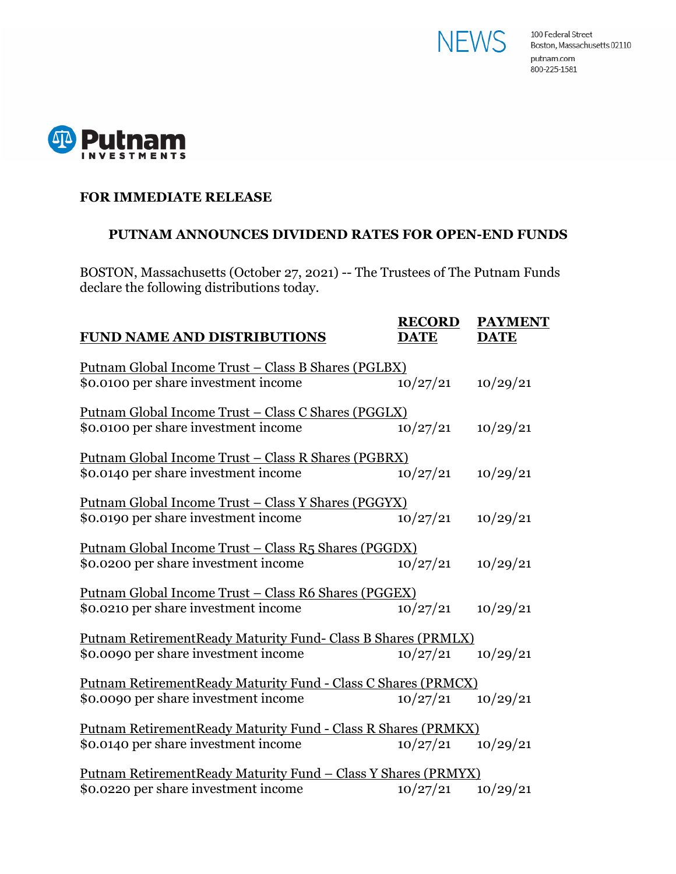



## **FOR IMMEDIATE RELEASE**

## **PUTNAM ANNOUNCES DIVIDEND RATES FOR OPEN-END FUNDS**

BOSTON, Massachusetts (October 27, 2021) -- The Trustees of The Putnam Funds declare the following distributions today.

| <b>FUND NAME AND DISTRIBUTIONS</b>                                                                            | <b>RECORD</b><br><b>DATE</b> | <b>PAYMENT</b><br><b>DATE</b> |
|---------------------------------------------------------------------------------------------------------------|------------------------------|-------------------------------|
| <u> Putnam Global Income Trust – Class B Shares (PGLBX)</u><br>\$0.0100 per share investment income           | 10/27/21                     | 10/29/21                      |
| <u> Putnam Global Income Trust – Class C Shares (PGGLX)</u><br>\$0.0100 per share investment income           | 10/27/21                     | 10/29/21                      |
| <u> Putnam Global Income Trust – Class R Shares (PGBRX)</u><br>\$0.0140 per share investment income           | 10/27/21                     | 10/29/21                      |
| <u> Putnam Global Income Trust – Class Y Shares (PGGYX)</u><br>\$0.0190 per share investment income           | 10/27/21                     | 10/29/21                      |
| <u> Putnam Global Income Trust – Class R5 Shares (PGGDX)</u><br>\$0.0200 per share investment income          | 10/27/21                     | 10/29/21                      |
| <u> Putnam Global Income Trust – Class R6 Shares (PGGEX)</u><br>\$0.0210 per share investment income          | 10/27/21                     | 10/29/21                      |
| <b>Putnam RetirementReady Maturity Fund- Class B Shares (PRMLX)</b><br>\$0.0090 per share investment income   | 10/27/21                     | 10/29/21                      |
| Putnam RetirementReady Maturity Fund - Class C Shares (PRMCX)<br>\$0.0090 per share investment income         | 10/27/21                     | 10/29/21                      |
| Putnam RetirementReady Maturity Fund - Class R Shares (PRMKX)<br>\$0.0140 per share investment income         | 10/27/21                     | 10/29/21                      |
| <u> Putnam RetirementReady Maturity Fund – Class Y Shares (PRMYX)</u><br>\$0.0220 per share investment income | 10/27/21                     | 10/29/21                      |